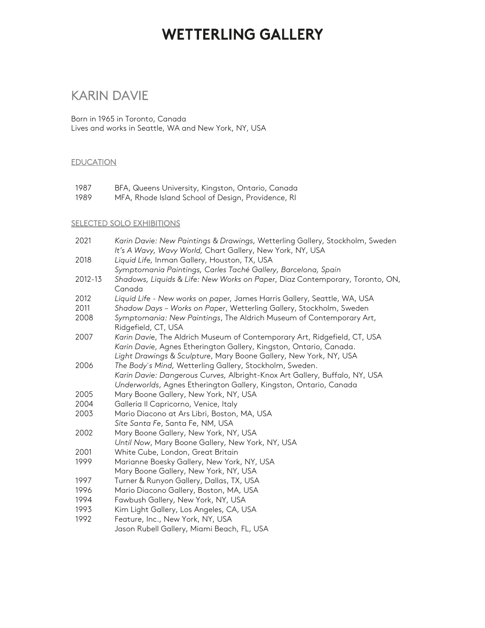### KARIN DAVIE

Born in 1965 in Toronto, Canada Lives and works in Seattle, WA and New York, NY, USA

#### **EDUCATION**

1987 BFA, Queens University, Kingston, Ontario, Canada

1989 MFA, Rhode Island School of Design, Providence, RI

#### SELECTED SOLO EXHIBITIONS

| 2021    | Karin Davie: New Paintings & Drawings, Wetterling Gallery, Stockholm, Sweden                                                                                                                                        |
|---------|---------------------------------------------------------------------------------------------------------------------------------------------------------------------------------------------------------------------|
|         | It's A Wavy, Wavy World, Chart Gallery, New York, NY, USA                                                                                                                                                           |
| 2018    | Liquid Life, Inman Gallery, Houston, TX, USA                                                                                                                                                                        |
|         | Symptomania Paintings, Carles Taché Gallery, Barcelona, Spain                                                                                                                                                       |
| 2012-13 | Shadows, Liquids & Life: New Works on Paper, Diaz Contemporary, Toronto, ON,<br>Canada                                                                                                                              |
| 2012    | Liquid Life - New works on paper, James Harris Gallery, Seattle, WA, USA                                                                                                                                            |
| 2011    | Shadow Days - Works on Paper, Wetterling Gallery, Stockholm, Sweden                                                                                                                                                 |
| 2008    | Symptomania: New Paintings, The Aldrich Museum of Contemporary Art,<br>Ridgefield, CT, USA                                                                                                                          |
| 2007    | Karin Davie, The Aldrich Museum of Contemporary Art, Ridgefield, CT, USA<br>Karin Davie, Agnes Etherington Gallery, Kingston, Ontario, Canada.<br>Light Drawings & Sculpture, Mary Boone Gallery, New York, NY, USA |
| 2006    | The Body's Mind, Wetterling Gallery, Stockholm, Sweden.                                                                                                                                                             |
|         | Karin Davie: Dangerous Curves, Albright-Knox Art Gallery, Buffalo, NY, USA                                                                                                                                          |
|         | Underworlds, Agnes Etherington Gallery, Kingston, Ontario, Canada                                                                                                                                                   |
| 2005    | Mary Boone Gallery, New York, NY, USA                                                                                                                                                                               |
| 2004    | Galleria II Capricorno, Venice, Italy                                                                                                                                                                               |
| 2003    | Mario Diacono at Ars Libri, Boston, MA, USA                                                                                                                                                                         |
|         | Site Santa Fe, Santa Fe, NM, USA                                                                                                                                                                                    |
| 2002    | Mary Boone Gallery, New York, NY, USA                                                                                                                                                                               |
|         | Until Now, Mary Boone Gallery, New York, NY, USA                                                                                                                                                                    |
| 2001    | White Cube, London, Great Britain                                                                                                                                                                                   |
| 1999    | Marianne Boesky Gallery, New York, NY, USA                                                                                                                                                                          |
|         | Mary Boone Gallery, New York, NY, USA                                                                                                                                                                               |
| 1997    | Turner & Runyon Gallery, Dallas, TX, USA                                                                                                                                                                            |
| 1996    | Mario Diacono Gallery, Boston, MA, USA                                                                                                                                                                              |
| 1994    | Fawbush Gallery, New York, NY, USA                                                                                                                                                                                  |
| 1993    | Kim Light Gallery, Los Angeles, CA, USA                                                                                                                                                                             |
| 1992    | Feature, Inc., New York, NY, USA                                                                                                                                                                                    |
|         | Jason Rubell Gallery, Miami Beach, FL, USA                                                                                                                                                                          |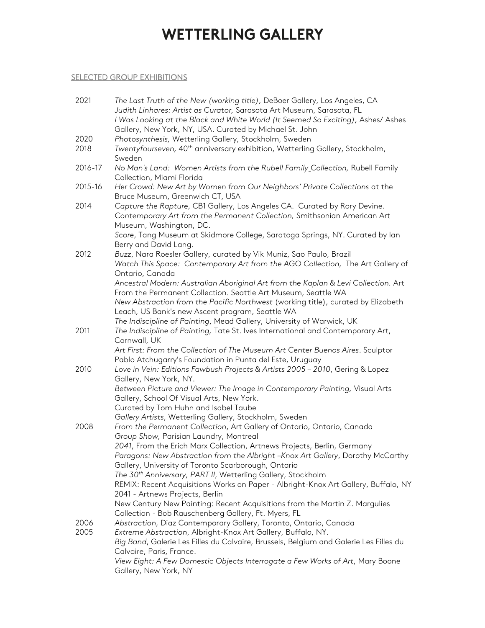### SELECTED GROUP EXHIBITIONS

| 2021         | The Last Truth of the New (working title), DeBoer Gallery, Los Angeles, CA<br>Judith Linhares: Artist as Curator, Sarasota Art Museum, Sarasota, FL<br>I Was Looking at the Black and White World (It Seemed So Exciting), Ashes/ Ashes |
|--------------|-----------------------------------------------------------------------------------------------------------------------------------------------------------------------------------------------------------------------------------------|
|              | Gallery, New York, NY, USA. Curated by Michael St. John                                                                                                                                                                                 |
| 2020         | Photosynthesis, Wetterling Gallery, Stockholm, Sweden                                                                                                                                                                                   |
| 2018         | Twentyfourseven, 40 <sup>th</sup> anniversary exhibition, Wetterling Gallery, Stockholm,<br>Sweden                                                                                                                                      |
| 2016-17      | No Man's Land: Women Artists from the Rubell Family_Collection, Rubell Family<br>Collection, Miami Florida                                                                                                                              |
| 2015-16      | Her Crowd: New Art by Women from Our Neighbors' Private Collections at the<br>Bruce Museum, Greenwich CT, USA                                                                                                                           |
| 2014         | Capture the Rapture, CB1 Gallery, Los Angeles CA. Curated by Rory Devine.<br>Contemporary Art from the Permanent Collection, Smithsonian American Art<br>Museum, Washington, DC.                                                        |
|              | Score, Tang Museum at Skidmore College, Saratoga Springs, NY. Curated by lan<br>Berry and David Lang.                                                                                                                                   |
| 2012         | Buzz, Nara Roesler Gallery, curated by Vik Muniz, Sao Paulo, Brazil                                                                                                                                                                     |
|              | Watch This Space: Contemporary Art from the AGO Collection, The Art Gallery of<br>Ontario, Canada                                                                                                                                       |
|              | Ancestral Modern: Australian Aboriginal Art from the Kaplan & Levi Collection. Art                                                                                                                                                      |
|              | From the Permanent Collection. Seattle Art Museum, Seattle WA                                                                                                                                                                           |
|              | New Abstraction from the Pacific Northwest (working title), curated by Elizabeth<br>Leach, US Bank's new Ascent program, Seattle WA                                                                                                     |
|              | The Indiscipline of Painting, Mead Gallery, University of Warwick, UK                                                                                                                                                                   |
| 2011         | The Indiscipline of Painting, Tate St. Ives International and Contemporary Art,<br>Cornwall, UK                                                                                                                                         |
|              | Art First: From the Collection of The Museum Art Center Buenos Aires. Sculptor                                                                                                                                                          |
| 2010         | Pablo Atchugarry's Foundation in Punta del Este, Uruguay<br>Love in Vein: Editions Fawbush Projects & Artists 2005 - 2010, Gering & Lopez                                                                                               |
|              | Gallery, New York, NY.                                                                                                                                                                                                                  |
|              | Between Picture and Viewer: The Image in Contemporary Painting, Visual Arts<br>Gallery, School Of Visual Arts, New York.                                                                                                                |
|              | Curated by Tom Huhn and Isabel Taube                                                                                                                                                                                                    |
|              | Gallery Artists, Wetterling Gallery, Stockholm, Sweden                                                                                                                                                                                  |
| 2008         | From the Permanent Collection, Art Gallery of Ontario, Ontario, Canada<br>Group Show, Parisian Laundry, Montreal                                                                                                                        |
|              | 2041, From the Erich Marx Collection, Artnews Projects, Berlin, Germany<br>Paragons: New Abstraction from the Albright -Knox Art Gallery, Dorothy McCarthy<br>Gallery, University of Toronto Scarborough, Ontario                       |
|              | The 30 <sup>th</sup> Anniversary, PART II, Wetterling Gallery, Stockholm                                                                                                                                                                |
|              | REMIX: Recent Acquisitions Works on Paper - Albright-Knox Art Gallery, Buffalo, NY<br>2041 - Artnews Projects, Berlin                                                                                                                   |
|              | New Century New Painting: Recent Acquisitions from the Martin Z. Margulies<br>Collection - Bob Rauschenberg Gallery, Ft. Myers, FL                                                                                                      |
| 2006<br>2005 | Abstraction, Diaz Contemporary Gallery, Toronto, Ontario, Canada<br>Extreme Abstraction, Albright-Knox Art Gallery, Buffalo, NY.                                                                                                        |
|              | Big Band, Galerie Les Filles du Calvaire, Brussels, Belgium and Galerie Les Filles du                                                                                                                                                   |
|              | Calvaire, Paris, France.<br>View Eight: A Few Domestic Objects Interrogate a Few Works of Art, Mary Boone<br>Gallery, New York, NY                                                                                                      |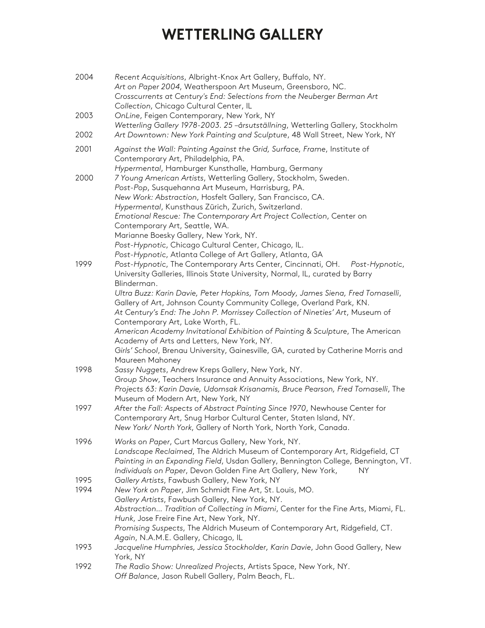| 2004         | Recent Acquisitions, Albright-Knox Art Gallery, Buffalo, NY.<br>Art on Paper 2004, Weatherspoon Art Museum, Greensboro, NC.<br>Crosscurrents at Century's End: Selections from the Neuberger Berman Art<br>Collection, Chicago Cultural Center, IL                                                                                                                                             |
|--------------|------------------------------------------------------------------------------------------------------------------------------------------------------------------------------------------------------------------------------------------------------------------------------------------------------------------------------------------------------------------------------------------------|
| 2003         | OnLine, Feigen Contemporary, New York, NY<br>Wetterling Gallery 1978-2003. 25 -årsutställning, Wetterling Gallery, Stockholm                                                                                                                                                                                                                                                                   |
| 2002         | Art Downtown: New York Painting and Sculpture, 48 Wall Street, New York, NY                                                                                                                                                                                                                                                                                                                    |
| 2001         | Against the Wall: Painting Against the Grid, Surface, Frame, Institute of<br>Contemporary Art, Philadelphia, PA.<br>Hypermental, Hamburger Kunsthalle, Hamburg, Germany                                                                                                                                                                                                                        |
| 2000         | 7 Young American Artists, Wetterling Gallery, Stockholm, Sweden.<br>Post-Pop, Susquehanna Art Museum, Harrisburg, PA.<br>New Work: Abstraction, Hosfelt Gallery, San Francisco, CA.<br>Hypermental, Kunsthaus Zürich, Zurich, Switzerland.<br>Emotional Rescue: The Contemporary Art Project Collection, Center on<br>Contemporary Art, Seattle, WA.<br>Marianne Boesky Gallery, New York, NY. |
|              | Post-Hypnotic, Chicago Cultural Center, Chicago, IL.<br>Post-Hypnotic, Atlanta College of Art Gallery, Atlanta, GA                                                                                                                                                                                                                                                                             |
| 1999         | Post-Hypnotic, The Contemporary Arts Center, Cincinnati, OH. Post-Hypnotic,<br>University Galleries, Illinois State University, Normal, IL, curated by Barry<br>Blinderman.                                                                                                                                                                                                                    |
|              | Ultra Buzz: Karin Davie, Peter Hopkins, Tom Moody, James Siena, Fred Tomaselli,<br>Gallery of Art, Johnson County Community College, Overland Park, KN.<br>At Century's End: The John P. Morrissey Collection of Nineties' Art, Museum of<br>Contemporary Art, Lake Worth, FL.<br>American Academy Invitational Exhibition of Painting & Sculpture, The American                               |
|              | Academy of Arts and Letters, New York, NY.<br>Girls' School, Brenau University, Gainesville, GA, curated by Catherine Morris and<br>Maureen Mahoney                                                                                                                                                                                                                                            |
| 1998         | Sassy Nuggets, Andrew Kreps Gallery, New York, NY.<br>Group Show, Teachers Insurance and Annuity Associations, New York, NY.<br>Projects 63: Karin Davie, Udomsak Krisanamis, Bruce Pearson, Fred Tomaselli, The<br>Museum of Modern Art, New York, NY                                                                                                                                         |
| 1997         | After the Fall: Aspects of Abstract Painting Since 1970, Newhouse Center for<br>Contemporary Art, Snug Harbor Cultural Center, Staten Island, NY.<br>New York/ North York, Gallery of North York, North York, Canada.                                                                                                                                                                          |
| 1996         | Works on Paper, Curt Marcus Gallery, New York, NY.<br>Landscape Reclaimed, The Aldrich Museum of Contemporary Art, Ridgefield, CT<br>Painting in an Expanding Field, Usdan Gallery, Bennington College, Bennington, VT.<br>Individuals on Paper, Devon Golden Fine Art Gallery, New York,<br>NΥ                                                                                                |
| 1995<br>1994 | Gallery Artists, Fawbush Gallery, New York, NY<br>New York on Paper, Jim Schmidt Fine Art, St. Louis, MO.<br>Gallery Artists, Fawbush Gallery, New York, NY.<br>Abstraction Tradition of Collecting in Miami, Center for the Fine Arts, Miami, FL.<br>Hunk, Jose Freire Fine Art, New York, NY.<br>Promising Suspects, The Aldrich Museum of Contemporary Art, Ridgefield, CT.                 |
| 1993         | Again, N.A.M.E. Gallery, Chicago, IL<br>Jacqueline Humphries, Jessica Stockholder, Karin Davie, John Good Gallery, New<br>York, NY                                                                                                                                                                                                                                                             |
| 1992         | The Radio Show: Unrealized Projects, Artists Space, New York, NY.<br>Off Balance, Jason Rubell Gallery, Palm Beach, FL.                                                                                                                                                                                                                                                                        |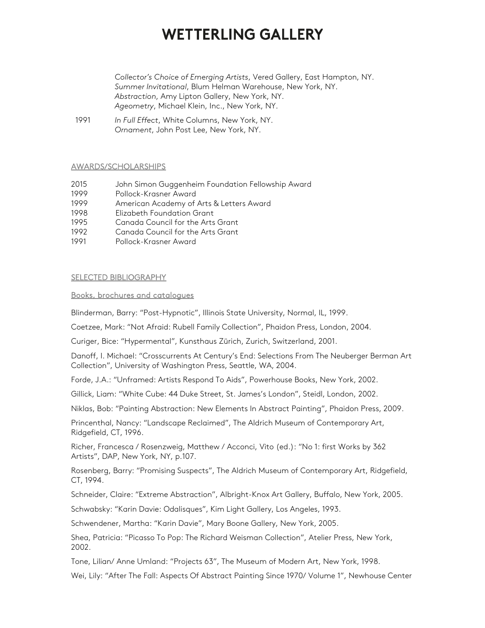*Collector's Choice of Emerging Artists*, Vered Gallery, East Hampton, NY. *Summer Invitational*, Blum Helman Warehouse, New York, NY. *Abstraction*, Amy Lipton Gallery, New York, NY. *Ageometry*, Michael Klein, Inc., New York, NY.

1991 *In Full Effect*, White Columns, New York, NY. *Ornament*, John Post Lee, New York, NY.

#### AWARDS/SCHOLARSHIPS

- 2015 John Simon Guggenheim Foundation Fellowship Award
- 1999 Pollock-Krasner Award
- 1999 American Academy of Arts & Letters Award
- 1998 Elizabeth Foundation Grant
- 1995 Canada Council for the Arts Grant
- 1992 Canada Council for the Arts Grant
- 1991 Pollock-Krasner Award

#### SELECTED BIBLIOGRAPHY

#### Books, brochures and catalogues

Blinderman, Barry: "Post-Hypnotic", Illinois State University, Normal, IL, 1999.

Coetzee, Mark: "Not Afraid: Rubell Family Collection", Phaidon Press, London, 2004.

Curiger, Bice: "Hypermental", Kunsthaus Zürich, Zurich, Switzerland, 2001.

Danoff, I. Michael: "Crosscurrents At Century's End: Selections From The Neuberger Berman Art Collection", University of Washington Press, Seattle, WA, 2004.

Forde, J.A.: "Unframed: Artists Respond To Aids", Powerhouse Books, New York, 2002.

Gillick, Liam: "White Cube: 44 Duke Street, St. James's London", Steidl, London, 2002.

Niklas, Bob: "Painting Abstraction: New Elements In Abstract Painting", Phaidon Press, 2009.

Princenthal, Nancy: "Landscape Reclaimed", The Aldrich Museum of Contemporary Art, Ridgefield, CT, 1996.

Richer, Francesca / Rosenzweig, Matthew / Acconci, Vito (ed.): "No 1: first Works by 362 Artists", DAP, New York, NY, p.107.

Rosenberg, Barry: "Promising Suspects", The Aldrich Museum of Contemporary Art, Ridgefield, CT, 1994.

Schneider, Claire: "Extreme Abstraction", Albright-Knox Art Gallery, Buffalo, New York, 2005.

Schwabsky: "Karin Davie: Odalisques", Kim Light Gallery, Los Angeles, 1993.

Schwendener, Martha: "Karin Davie", Mary Boone Gallery, New York, 2005.

Shea, Patricia: "Picasso To Pop: The Richard Weisman Collection", Atelier Press, New York, 2002.

Tone, Lilian/ Anne Umland: "Projects 63", The Museum of Modern Art, New York, 1998.

Wei, Lily: "After The Fall: Aspects Of Abstract Painting Since 1970/ Volume 1", Newhouse Center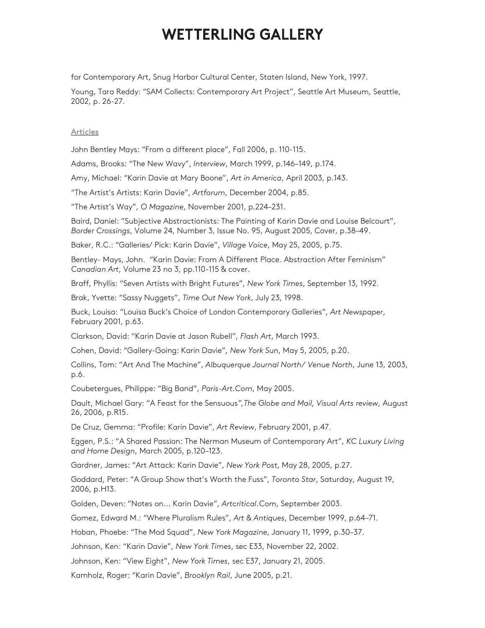for Contemporary Art, Snug Harbor Cultural Center, Staten Island, New York, 1997.

Young, Tara Reddy: "SAM Collects: Contemporary Art Project", Seattle Art Museum, Seattle, 2002, p. 26-27.

#### Articles

John Bentley Mays: "From a different place", Fall 2006, p. 110-115.

Adams, Brooks: "The New Wavy", *Interview*, March 1999, p.146–149, p.174.

Amy, Michael: "Karin Davie at Mary Boone", *Art in America*, April 2003, p.143.

"The Artist's Artists: Karin Davie", *Artforum*, December 2004, p.85.

"The Artist's Way", *O Magazine*, November 2001, p.224–231.

Baird, Daniel: "Subjective Abstractionists: The Painting of Karin Davie and Louise Belcourt", *Border Crossings*, Volume 24, Number 3, Issue No. 95, August 2005, Cover, p.38–49.

Baker, R.C.: "Galleries/ Pick: Karin Davie", *Village Voice*, May 25, 2005, p.75.

Bentley- Mays, John. "Karin Davie: From A Different Place. Abstraction After Feminism" *Canadian Art*, Volume 23 no 3, pp.110-115 & cover.

Braff, Phyllis: "Seven Artists with Bright Futures", *New York Times*, September 13, 1992.

Brak, Yvette: "Sassy Nuggets", *Time Out New York*, July 23, 1998.

Buck, Louisa: "Louisa Buck's Choice of London Contemporary Galleries", *Art Newspaper*, February 2001, p.63.

Clarkson, David: "Karin Davie at Jason Rubell", *Flash Art*, March 1993.

Cohen, David: "Gallery-Going: Karin Davie", *New York Sun*, May 5, 2005, p.20.

Collins, Tom: "Art And The Machine", *Albuquerque Journal North/ Venue North*, June 13, 2003, p.6.

Coubetergues, Philippe: "Big Band", *Paris-Art.Com*, May 2005.

Dault, Michael Gary: "A Feast for the Sensuous*",The Globe and Mail, Visual Arts review*, August 26, 2006, p.R15.

De Cruz, Gemma: "Profile: Karin Davie", *Art Review*, February 2001, p.47.

Eggen, P.S.: "A Shared Passion: The Nerman Museum of Contemporary Art", *KC Luxury Living and Home Design*, March 2005, p.120–123.

Gardner, James: "Art Attack: Karin Davie", *New York Post*, May 28, 2005, p.27.

Goddard, Peter: "A Group Show that's Worth the Fuss", *Toronto Star*, Saturday, August 19, 2006, p.H13.

Golden, Deven: "Notes on... Karin Davie", *Artcritical.Com*, September 2003.

Gomez, Edward M.: "Where Pluralism Rules", *Art & Antiques*, December 1999, p.64–71.

Hoban, Phoebe: "The Mod Squad", *New York Magazine*, January 11, 1999, p.30–37.

Johnson, Ken: "Karin Davie", *New York Times*, sec E33, November 22, 2002.

Johnson, Ken: "View Eight", *New York Times*, sec E37, January 21, 2005.

Kamholz, Roger: "Karin Davie", *Brooklyn Rail*, June 2005, p.21.